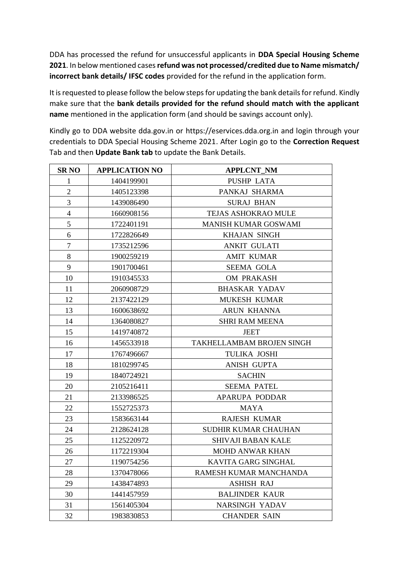DDA has processed the refund for unsuccessful applicants in **DDA Special Housing Scheme**  . In below mentioned cases **refund was not processed/credited due to Name mismatch/ incorrect bank details/ IFSC codes** provided for the refund in the application form.

It is requested to please follow the below steps for updating the bank details for refund. Kindly make sure that the **bank details provided for the refund should match with the applicant name** mentioned in the application form (and should be savings account only).

Kindly go to DDA website dda.gov.in or https://eservices.dda.org.in and login through your credentials to DDA Special Housing Scheme 2021. After Login go to the **Correction Request** Tab and then **Update Bank tab** to update the Bank Details.

| <b>SRNO</b>    | <b>APPLICATION NO</b> | <b>APPLCNT_NM</b>           |
|----------------|-----------------------|-----------------------------|
| $\mathbf 1$    | 1404199901            | <b>PUSHP LATA</b>           |
| $\overline{2}$ | 1405123398            | PANKAJ SHARMA               |
| $\overline{3}$ | 1439086490            | <b>SURAJ BHAN</b>           |
| $\overline{4}$ | 1660908156            | TEJAS ASHOKRAO MULE         |
| 5              | 1722401191            | <b>MANISH KUMAR GOSWAMI</b> |
| 6              | 1722826649            | <b>KHAJAN SINGH</b>         |
| $\overline{7}$ | 1735212596            | <b>ANKIT GULATI</b>         |
| $8\,$          | 1900259219            | <b>AMIT KUMAR</b>           |
| 9              | 1901700461            | <b>SEEMA GOLA</b>           |
| 10             | 1910345533            | OM PRAKASH                  |
| 11             | 2060908729            | <b>BHASKAR YADAV</b>        |
| 12             | 2137422129            | <b>MUKESH KUMAR</b>         |
| 13             | 1600638692            | <b>ARUN KHANNA</b>          |
| 14             | 1364080827            | <b>SHRI RAM MEENA</b>       |
| 15             | 1419740872            | <b>JEET</b>                 |
| 16             | 1456533918            | TAKHELLAMBAM BROJEN SINGH   |
| 17             | 1767496667            | TULIKA JOSHI                |
| 18             | 1810299745            | <b>ANISH GUPTA</b>          |
| 19             | 1840724921            | <b>SACHIN</b>               |
| 20             | 2105216411            | <b>SEEMA PATEL</b>          |
| 21             | 2133986525            | APARUPA PODDAR              |
| 22             | 1552725373            | MAYA                        |
| 23             | 1583663144            | <b>RAJESH KUMAR</b>         |
| 24             | 2128624128            | SUDHIR KUMAR CHAUHAN        |
| 25             | 1125220972            | SHIVAJI BABAN KALE          |
| 26             | 1172219304            | <b>MOHD ANWAR KHAN</b>      |
| 27             | 1190754256            | KAVITA GARG SINGHAL         |
| 28             | 1370478066            | RAMESH KUMAR MANCHANDA      |
| 29             | 1438474893            | <b>ASHISH RAJ</b>           |
| 30             | 1441457959            | <b>BALJINDER KAUR</b>       |
| 31             | 1561405304            | <b>NARSINGH YADAV</b>       |
| 32             | 1983830853            | <b>CHANDER SAIN</b>         |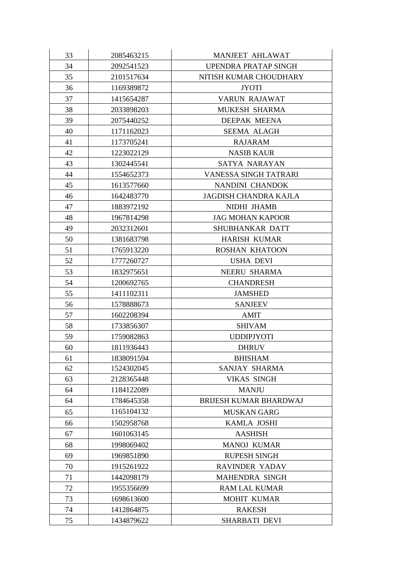| 33 | 2085463215 | MANJEET AHLAWAT               |
|----|------------|-------------------------------|
| 34 | 2092541523 | UPENDRA PRATAP SINGH          |
| 35 | 2101517634 | NITISH KUMAR CHOUDHARY        |
| 36 | 1169389872 | <b>JYOTI</b>                  |
| 37 | 1415654287 | <b>VARUN RAJAWAT</b>          |
| 38 | 2033898203 | MUKESH SHARMA                 |
| 39 | 2075440252 | <b>DEEPAK MEENA</b>           |
| 40 | 1171162023 | <b>SEEMA ALAGH</b>            |
| 41 | 1173705241 | <b>RAJARAM</b>                |
| 42 | 1223022129 | <b>NASIB KAUR</b>             |
| 43 | 1302445541 | SATYA NARAYAN                 |
| 44 | 1554652373 | <b>VANESSA SINGH TATRARI</b>  |
| 45 | 1613577660 | NANDINI CHANDOK               |
| 46 | 1642483770 | <b>JAGDISH CHANDRA KAJLA</b>  |
| 47 | 1883972192 | NIDHI JHAMB                   |
| 48 | 1967814298 | <b>JAG MOHAN KAPOOR</b>       |
| 49 | 2032312601 | SHUBHANKAR DATT               |
| 50 | 1381683798 | <b>HARISH KUMAR</b>           |
| 51 | 1765913220 | <b>ROSHAN KHATOON</b>         |
| 52 | 1777260727 | USHA DEVI                     |
| 53 | 1832975651 | <b>NEERU SHARMA</b>           |
| 54 | 1200692765 | <b>CHANDRESH</b>              |
| 55 | 1411102311 | <b>JAMSHED</b>                |
| 56 | 1578888673 | <b>SANJEEV</b>                |
| 57 | 1602208394 | <b>AMIT</b>                   |
| 58 | 1733856307 | <b>SHIVAM</b>                 |
| 59 | 1759082863 | <b>UDDIPJYOTI</b>             |
| 60 | 1811936443 | <b>DHRUV</b>                  |
| 61 | 1838091594 | <b>BHISHAM</b>                |
| 62 | 1524302045 | SANJAY SHARMA                 |
| 63 | 2128365448 | <b>VIKAS SINGH</b>            |
| 64 | 1184122089 | <b>MANJU</b>                  |
| 64 | 1784645358 | <b>BRIJESH KUMAR BHARDWAJ</b> |
| 65 | 1165104132 | MUSKAN GARG                   |
| 66 | 1502958768 | KAMLA JOSHI                   |
| 67 | 1601063145 | <b>AASHISH</b>                |
| 68 | 1998069402 | <b>MANOJ KUMAR</b>            |
| 69 | 1969851890 | <b>RUPESH SINGH</b>           |
| 70 | 1915261922 | <b>RAVINDER YADAV</b>         |
| 71 | 1442098179 | <b>MAHENDRA SINGH</b>         |
| 72 | 1955356699 | <b>RAM LAL KUMAR</b>          |
| 73 | 1698613600 | <b>MOHIT KUMAR</b>            |
| 74 | 1412864875 | <b>RAKESH</b>                 |
| 75 | 1434879622 | SHARBATI DEVI                 |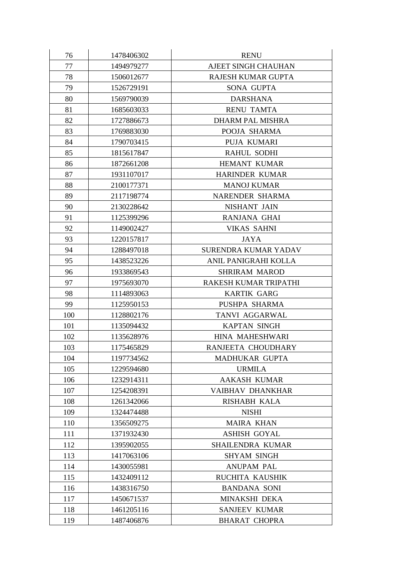| 76  | 1478406302 | <b>RENU</b>             |
|-----|------------|-------------------------|
| 77  | 1494979277 | AJEET SINGH CHAUHAN     |
| 78  | 1506012677 | RAJESH KUMAR GUPTA      |
| 79  | 1526729191 | SONA GUPTA              |
| 80  | 1569790039 | <b>DARSHANA</b>         |
| 81  | 1685603033 | <b>RENU TAMTA</b>       |
| 82  | 1727886673 | <b>DHARM PAL MISHRA</b> |
| 83  | 1769883030 | POOJA SHARMA            |
| 84  | 1790703415 | PUJA KUMARI             |
| 85  | 1815617847 | <b>RAHUL SODHI</b>      |
| 86  | 1872661208 | HEMANT KUMAR            |
| 87  | 1931107017 | HARINDER KUMAR          |
| 88  | 2100177371 | <b>MANOJ KUMAR</b>      |
| 89  | 2117198774 | NARENDER SHARMA         |
| 90  | 2130228642 | NISHANT JAIN            |
| 91  | 1125399296 | RANJANA GHAI            |
| 92  | 1149002427 | <b>VIKAS SAHNI</b>      |
| 93  | 1220157817 | <b>JAYA</b>             |
| 94  | 1288497018 | SURENDRA KUMAR YADAV    |
| 95  | 1438523226 | ANIL PANIGRAHI KOLLA    |
| 96  | 1933869543 | <b>SHRIRAM MAROD</b>    |
| 97  | 1975693070 | RAKESH KUMAR TRIPATHI   |
| 98  | 1114893063 | <b>KARTIK GARG</b>      |
| 99  | 1125950153 | PUSHPA SHARMA           |
| 100 | 1128802176 | TANVI AGGARWAL          |
| 101 | 1135094432 | <b>KAPTAN SINGH</b>     |
| 102 | 1135628976 | HINA MAHESHWARI         |
| 103 | 1175465829 | RANJEETA CHOUDHARY      |
| 104 | 1197734562 | MADHUKAR GUPTA          |
| 105 | 1229594680 | <b>URMILA</b>           |
| 106 | 1232914311 | <b>AAKASH KUMAR</b>     |
| 107 | 1254208391 | VAIBHAV DHANKHAR        |
| 108 | 1261342066 | <b>RISHABH KALA</b>     |
| 109 | 1324474488 | <b>NISHI</b>            |
| 110 | 1356509275 | <b>MAIRA KHAN</b>       |
| 111 | 1371932430 | <b>ASHISH GOYAL</b>     |
| 112 | 1395902055 | SHAILENDRA KUMAR        |
| 113 | 1417063106 | <b>SHYAM SINGH</b>      |
| 114 | 1430055981 | <b>ANUPAM PAL</b>       |
| 115 | 1432409112 | RUCHITA KAUSHIK         |
| 116 | 1438316750 | <b>BANDANA SONI</b>     |
| 117 | 1450671537 | MINAKSHI DEKA           |
| 118 | 1461205116 | <b>SANJEEV KUMAR</b>    |
| 119 | 1487406876 | <b>BHARAT CHOPRA</b>    |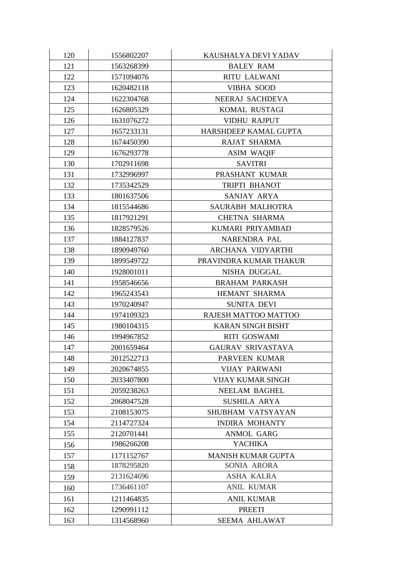| 120 | 1556802207 | KAUSHALYA DEVI YADAV      |
|-----|------------|---------------------------|
| 121 | 1563268399 | <b>BALEY RAM</b>          |
| 122 | 1571094076 | <b>RITU LALWANI</b>       |
| 123 | 1620482118 | <b>VIBHA SOOD</b>         |
| 124 | 1622304768 | NEERAJ SACHDEVA           |
| 125 | 1626805329 | KOMAL RUSTAGI             |
| 126 | 1631076272 | <b>VIDHU RAJPUT</b>       |
| 127 | 1657233131 | HARSHDEEP KAMAL GUPTA     |
| 128 | 1674450390 | <b>RAJAT SHARMA</b>       |
| 129 | 1676293778 | <b>ASIM WAQIF</b>         |
| 130 | 1702911698 | <b>SAVITRI</b>            |
| 131 | 1732996997 | PRASHANT KUMAR            |
| 132 | 1735342529 | <b>TRIPTI BHANOT</b>      |
| 133 | 1801637506 | SANJAY ARYA               |
| 134 | 1815544686 | SAURABH MALHOTRA          |
| 135 | 1817921291 | <b>CHETNA SHARMA</b>      |
| 136 | 1828579526 | KUMARI PRIYAMBAD          |
| 137 | 1884127837 | NARENDRA PAL              |
| 138 | 1890949760 | ARCHANA VIDYARTHI         |
| 139 | 1899549722 | PRAVINDRA KUMAR THAKUR    |
| 140 | 1928001011 | NISHA DUGGAL              |
| 141 | 1958546656 | <b>BRAHAM PARKASH</b>     |
| 142 | 1965243543 | HEMANT SHARMA             |
| 143 | 1970240947 | <b>SUNITA DEVI</b>        |
| 144 | 1974109323 | RAJESH MATTOO MATTOO      |
| 145 | 1980104315 | <b>KARAN SINGH BISHT</b>  |
| 146 | 1994967852 | RITI GOSWAMI              |
| 147 | 2001659464 | <b>GAURAV SRIVASTAVA</b>  |
| 148 | 2012522713 | PARVEEN KUMAR             |
| 149 | 2020674855 | <b>VIJAY PARWANI</b>      |
| 150 | 2033407800 | <b>VIJAY KUMAR SINGH</b>  |
| 151 | 2059238263 | <b>NEELAM BAGHEL</b>      |
| 152 | 2068047528 | <b>SUSHILA ARYA</b>       |
| 153 | 2108153075 | SHUBHAM VATSYAYAN         |
| 154 | 2114727324 | <b>INDIRA MOHANTY</b>     |
| 155 | 2120701441 | <b>ANMOL GARG</b>         |
| 156 | 1986266208 | <b>YACHIKA</b>            |
| 157 | 1171152767 | <b>MANISH KUMAR GUPTA</b> |
| 158 | 1878295820 | SONIA ARORA               |
| 159 | 2131624696 | <b>ASHA KALRA</b>         |
| 160 | 1736461107 | <b>ANIL KUMAR</b>         |
| 161 | 1211464835 | <b>ANIL KUMAR</b>         |
| 162 | 1290991112 | <b>PREETI</b>             |
| 163 | 1314568960 | <b>SEEMA AHLAWAT</b>      |